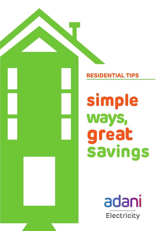

# **RESIDENTIAL TIPS**

**simple ways, great savings**

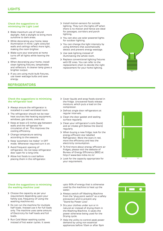#### **Check the suggestions to minimizing the Light Load**

- woke moximum ose or nacarar<br>daylight. Add a skylight to bring more Make maximum use of natural sunshine to dark areas.
- � While decorating your home, keep illumination in mind. Light coloured walls and ceilings reflect more light, making the room brighter.
- > Make sure your everyone at home turns off all lights while leaving the room.
- When decorating your home, install clean lighting fixtures, lampshades and reflectors. A cleaner lamp gives a brighter output.
- > If you are using multi-bulb fixtures, use lower wattage bulbs and save energy.

# **REFRIGERATORS**

- > Install motion-sensors for outside lighting. They turn the lights off when there is no motion and hence are ideal for passages, corridors and porch lighting.
- You can also use solar powered lights for outdoor lighting.
- You can change the light intensity by using dimmers that automatically detect and prevent energy wastage.
- Use task lighting instead of illuminating the whole room.
- Replace conventional lighting fixtures with EE ones. You can refer to the replacement chart to decide the right replacement for your home lighting.



## **Check the suggestions to minimizing the refrigerator load**

- � installed in a well ventilated room. > Always ensure the refrigerator is
- $\rightarrow$ The refrigerator should not be near � heat sources like heating equipment, windows, gas stoves, ovens etc
- $\geq$  Keep at least a 6 inches gap between walls and the refrigerator for circulation of air. This improves the cooling efficiency.
- Change temperature setting according to the seasons
- > Keep 'automatic Ice maker' in OFF mode. Whenever required turn it on.
- > Avoid frequent opening of refrigerator. Do not keep refrigerator door open for a long time.
- > Allow hot foods to cool before placing them in the refrigerator.
- Cover liquids and wrap foods stored in the fridge. Uncovered foods release moisture, which puts a load on the compressor.
- > Defrost single door refrigerators at regular intervals.
- > Clean the door gasket and sealing surface regularly.
- Clean your refrigerator's coils (back) and air intake grill (below the doors) regularly.
- When buying a new fridge, look for the energy efficient star labelled Refrigerator. More the stars in red, more the efficiency and less the electricity consumption.
- > To find more about energy efficient air fridges, please visit the website of Bureau of Energy Efficiency (BEE) at http:// www.bee-india.nic.in/
- Look for the capacity appropriate for your requirement.



## **Check the suggestions to minimizing the washing machine Load**

- � requirement depending upon your > Choose the capacity as per your family size, frequency of using the washing machine etc.
- � Do not run the machine for multiple half loads. Instead use it for full loads only. The machine uses same amount of Electricity for half loads and full loads.
- > Run Cold Water washing cycles instead of hot water cycles. It saves

upto 90% of energy that is otherwise used by the machine to heat up the water.

- Always switch off Washing Machine from the "plug point switch" as a safety precaution and to prevent any "Stand-by Power Loss".
- > Dry your clothes under sun or in natural air instead of drying them in the Washing Machine. It saves the power otherwise being used for the Drying cycle.
- > Help the utility to control peak power demand by using non essential appliances before 10am or after 9pm

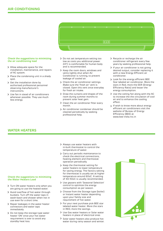

## **Check the suggestions to minimizing the air conditioning load**

- � installation, maintenance, and repairs > Allow adequate space for the of AC system.
- Place the condensing unit in a shady spot.
- > Get the installation done by authorised professional personnel observing manufacturer's instructions.
- > Use fan in stead of air conditioners whenever possible. They use much less energy.
- � low as costs you additional power. > Do not set temperature setting too 24°C is comfortable for human body and is recommended.
- � Keep the room doors, windows and vents tightly shut when Air Conditioner is running, to prevent leakage of cooled air.
- > Check the air conditioner settings. Make sure the 'fresh air' vent is closed. Open this vent once everyday for fresh air intake.
- > Draw the curtains and drapes of the room during summer months to prevent solar heat gain.
- Clean the air conditioner filter every month.
- > Air conditioner condenser should be cleaned periodically by seeking professional help.
- � conditioner refrigerant every few > Recycle or recharge the air years by seeking professional help.
- � If your air conditioner is not giving desired output, consider replacing it with a new Energy Efficient air conditioner.
- > Look for the energy efficient BEE Star labeled air conditioner. More the stars in Red, more the EER (Energy Efficiency Ratio) and lesser the energy consumption.
- Use the ceiling fan along with the AC to increase the the circulation of cool air and to enhance the cooling effect.
- > If wish to know more about energy efficient air conditioners visit the website of Bureau of Energy Efficiency (BEE) at www.bee-india.nic.in

## **WATER HEATERS**

## **Check the suggestions to minimizing the Water Heaters Load**

- are going to use the heated water. > Turn ON water heaters only when you
- � buckets. Turn off the water taps in > Avoid overflow of hot water through wash-basin and shower when not in use even for a short time.
- > Repair leakages in the water heater connectors and water taps immediately.
- > Do not keep the storage type water heater 'ON' once your hot water requirement is over to avoid any standby heat loss.
- � in-built thermostat to control the Always use water heaters with temperature of water.
- � Carry out periodic maintenance to check the electrical connections, heating element and thermostat operation periodically.
- > Keep the thermostat setting for water heaters to lower temperature for saving energy. The factory setting for thermostat is usually set at higher temperature around 60oC. A setting of 40-50oC is usually recommended.
- Use geysers with 'Seasonal Selection' control to optimize the energy consumption as per season.
- > Choose from the Storage type (boiler) or Instant water heater depending upon your family size and requirement of hot water.
- For your next purchase pick BEE star labeled water heater. More the stars in RED, more the savings.
- > Use Gas water heaters or Solar water heaters in place of electrical ones
- $\mathbf{\Sigma}$ Solar water heaters also produce hot water during rainy season and winter.